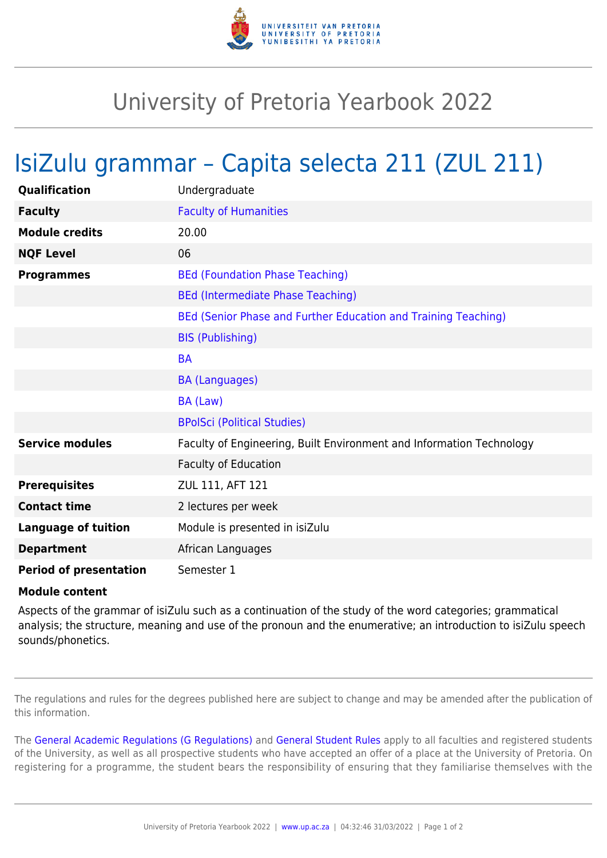

## University of Pretoria Yearbook 2022

## IsiZulu grammar – Capita selecta 211 (ZUL 211)

| Qualification                 | Undergraduate                                                        |
|-------------------------------|----------------------------------------------------------------------|
| <b>Faculty</b>                | <b>Faculty of Humanities</b>                                         |
| <b>Module credits</b>         | 20.00                                                                |
| <b>NQF Level</b>              | 06                                                                   |
| <b>Programmes</b>             | <b>BEd (Foundation Phase Teaching)</b>                               |
|                               | <b>BEd (Intermediate Phase Teaching)</b>                             |
|                               | BEd (Senior Phase and Further Education and Training Teaching)       |
|                               | <b>BIS (Publishing)</b>                                              |
|                               | <b>BA</b>                                                            |
|                               | <b>BA (Languages)</b>                                                |
|                               | BA (Law)                                                             |
|                               | <b>BPolSci (Political Studies)</b>                                   |
| <b>Service modules</b>        | Faculty of Engineering, Built Environment and Information Technology |
|                               | <b>Faculty of Education</b>                                          |
| <b>Prerequisites</b>          | ZUL 111, AFT 121                                                     |
| <b>Contact time</b>           | 2 lectures per week                                                  |
| <b>Language of tuition</b>    | Module is presented in isiZulu                                       |
| <b>Department</b>             | African Languages                                                    |
| <b>Period of presentation</b> | Semester 1                                                           |

## **Module content**

Aspects of the grammar of isiZulu such as a continuation of the study of the word categories; grammatical analysis; the structure, meaning and use of the pronoun and the enumerative; an introduction to isiZulu speech sounds/phonetics.

The regulations and rules for the degrees published here are subject to change and may be amended after the publication of this information.

The [General Academic Regulations \(G Regulations\)](https://www.up.ac.za/faculty-of-education/yearbooks/2022/rules/view/REG) and [General Student Rules](https://www.up.ac.za/faculty-of-education/yearbooks/2022/rules/view/RUL) apply to all faculties and registered students of the University, as well as all prospective students who have accepted an offer of a place at the University of Pretoria. On registering for a programme, the student bears the responsibility of ensuring that they familiarise themselves with the